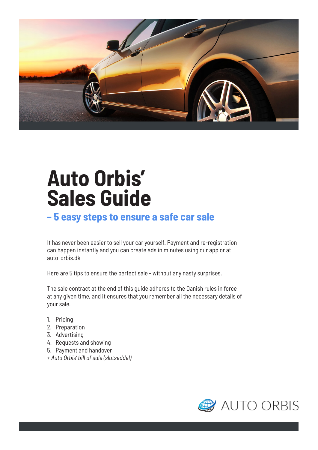

## **Auto Orbis' Sales Guide**

## **– 5 easy steps to ensure a safe car sale**

It has never been easier to sell your car yourself. Payment and re-registration can happen instantly and you can create ads in minutes using our app or at auto-orbis.dk

Here are 5 tips to ensure the perfect sale - without any nasty surprises.

The sale contract at the end of this guide adheres to the Danish rules in force at any given time, and it ensures that you remember all the necessary details of your sale.

- 1. Pricing
- 2. Preparation
- 3. Advertising
- 4. Requests and showing
- 5. Payment and handover
- *+ Auto Orbis' bill of sale (slutseddel)*

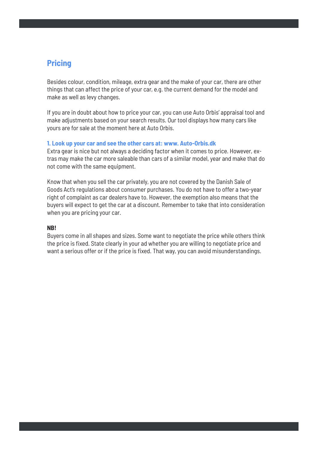## **Pricing**

Besides colour, condition, mileage, extra gear and the make of your car, there are other things that can affect the price of your car, e.g. the current demand for the model and make as well as levy changes.

If you are in doubt about how to price your car, you can use Auto Orbis' appraisal tool and make adjustments based on your search results. Our tool displays how many cars like yours are for sale at the moment here at Auto Orbis.

## **1. Look up your car and see the other cars at: www. Auto-Orbis.dk**

Extra gear is nice but not always a deciding factor when it comes to price. However, extras may make the car more saleable than cars of a similar model, year and make that do not come with the same equipment.

Know that when you sell the car privately, you are not covered by the Danish Sale of Goods Act's regulations about consumer purchases. You do not have to offer a two-year right of complaint as car dealers have to. However, the exemption also means that the buyers will expect to get the car at a discount. Remember to take that into consideration when you are pricing your car.

## **NB!**

Buyers come in all shapes and sizes. Some want to negotiate the price while others think the price is fixed. State clearly in your ad whether you are willing to negotiate price and want a serious offer or if the price is fixed. That way, you can avoid misunderstandings.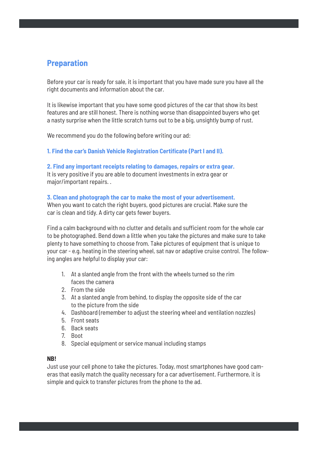## **Preparation**

Before your car is ready for sale, it is important that you have made sure you have all the right documents and information about the car.

It is likewise important that you have some good pictures of the car that show its best features and are still honest. There is nothing worse than disappointed buyers who get a nasty surprise when the little scratch turns out to be a big, unsightly bump of rust.

We recommend you do the following before writing our ad:

## **1. Find the car's Danish Vehicle Registration Certificate (Part I and II).**

## **2. Find any important receipts relating to damages, repairs or extra gear.**

It is very positive if you are able to document investments in extra gear or major/important repairs. .

## **3. Clean and photograph the car to make the most of your advertisement.**

When you want to catch the right buyers, good pictures are crucial. Make sure the car is clean and tidy. A dirty car gets fewer buyers.

Find a calm background with no clutter and details and sufficient room for the whole car to be photographed. Bend down a little when you take the pictures and make sure to take plenty to have something to choose from. Take pictures of equipment that is unique to your car - e.g. heating in the steering wheel, sat nav or adaptive cruise control. The following angles are helpful to display your car:

- 1. At a slanted angle from the front with the wheels turned so the rim faces the camera
- 2. From the side
- 3. At a slanted angle from behind, to display the opposite side of the car to the picture from the side
- 4. Dashboard (remember to adjust the steering wheel and ventilation nozzles)
- 5. Front seats
- 6. Back seats
- 7. Boot
- 8. Special equipment or service manual including stamps

## **NB!**

Just use your cell phone to take the pictures. Today, most smartphones have good cameras that easily match the quality necessary for a car advertisement. Furthermore, it is simple and quick to transfer pictures from the phone to the ad.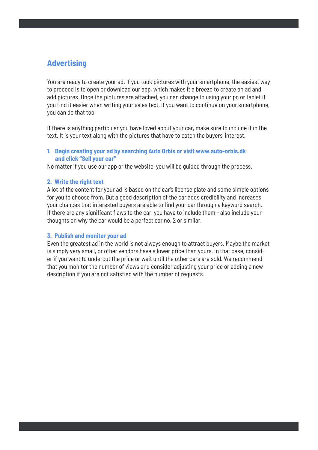## **Advertising**

You are ready to create your ad. If you took pictures with your smartphone, the easiest way to proceed is to open or download our app, which makes it a breeze to create an ad and add pictures. Once the pictures are attached, you can change to using your pc or tablet if you find it easier when writing your sales text. If you want to continue on your smartphone, you can do that too.

If there is anything particular you have loved about your car, make sure to include it in the text. It is your text along with the pictures that have to catch the buyers' interest.

## **1. Begin creating your ad by searching Auto Orbis or visit www.auto-orbis.dk and click "Sell your car"**

No matter if you use our app or the website, you will be guided through the process.

## **2. Write the right text**

A lot of the content for your ad is based on the car's license plate and some simple options for you to choose from. But a good description of the car adds credibility and increases your chances that interested buyers are able to find your car through a keyword search. If there are any significant flaws to the car, you have to include them - also include your thoughts on why the car would be a perfect car no. 2 or similar.

## **3. Publish and monitor your ad**

Even the greatest ad in the world is not always enough to attract buyers. Maybe the market is simply very small, or other vendors have a lower price than yours. In that case, consider if you want to undercut the price or wait until the other cars are sold. We recommend that you monitor the number of views and consider adjusting your price or adding a new description if you are not satisfied with the number of requests.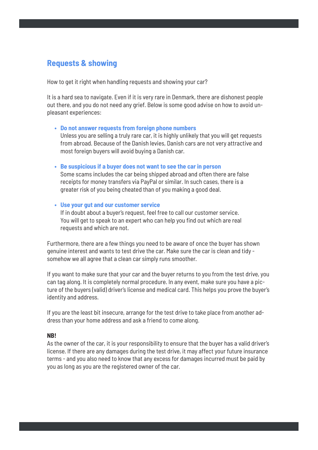## **Requests & showing**

How to get it right when handling requests and showing your car?

It is a hard sea to navigate. Even if it is very rare in Denmark, there are dishonest people out there, and you do not need any grief. Below is some good advise on how to avoid unpleasant experiences:

## **• Do not answer requests from foreign phone numbers**

 Unless you are selling a truly rare car, it is highly unlikely that you will get requests from abroad. Because of the Danish levies, Danish cars are not very attractive and most foreign buyers will avoid buying a Danish car.

**• Be suspicious if a buyer does not want to see the car in person**

 Some scams includes the car being shipped abroad and often there are false receipts for money transfers via PayPal or similar. In such cases, there is a greater risk of you being cheated than of you making a good deal.

## **• Use your gut and our customer service**

 If in doubt about a buyer's request, feel free to call our customer service. You will get to speak to an expert who can help you find out which are real requests and which are not.

Furthermore, there are a few things you need to be aware of once the buyer has shown genuine interest and wants to test drive the car. Make sure the car is clean and tidy somehow we all agree that a clean car simply runs smoother.

If you want to make sure that your car and the buyer returns to you from the test drive, you can tag along. It is completely normal procedure. In any event, make sure you have a picture of the buyers (valid) driver's license and medical card. This helps you prove the buyer's identity and address.

If you are the least bit insecure, arrange for the test drive to take place from another address than your home address and ask a friend to come along.

## **NB!**

As the owner of the car, it is your responsibility to ensure that the buyer has a valid driver's license. If there are any damages during the test drive, it may affect your future insurance terms - and you also need to know that any excess for damages incurred must be paid by you as long as you are the registered owner of the car.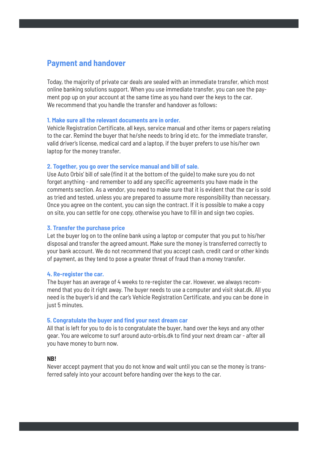## **Payment and handover**

Today, the majority of private car deals are sealed with an immediate transfer, which most online banking solutions support. When you use immediate transfer, you can see the payment pop up on your account at the same time as you hand over the keys to the car. We recommend that you handle the transfer and handover as follows:

## **1. Make sure all the relevant documents are in order.**

Vehicle Registration Certificate, all keys, service manual and other items or papers relating to the car. Remind the buyer that he/she needs to bring id etc. for the immediate transfer, valid driver's license, medical card and a laptop, if the buyer prefers to use his/her own laptop for the money transfer.

## **2. Together, you go over the service manual and bill of sale.**

Use Auto Orbis' bill of sale (find it at the bottom of the guide) to make sure you do not forget anything - and remember to add any specific agreements you have made in the comments section. As a vendor, you need to make sure that it is evident that the car is sold as tried and tested, unless you are prepared to assume more responsibility than necessary. Once you agree on the content, you can sign the contract. If it is possible to make a copy on site, you can settle for one copy, otherwise you have to fill in and sign two copies.

## **3. Transfer the purchase price**

Let the buyer log on to the online bank using a laptop or computer that you put to his/her disposal and transfer the agreed amount. Make sure the money is transferred correctly to your bank account. We do not recommend that you accept cash, credit card or other kinds of payment, as they tend to pose a greater threat of fraud than a money transfer.

#### **4. Re-register the car.**

The buyer has an average of 4 weeks to re-register the car. However, we always recommend that you do it right away. The buyer needs to use a computer and visit skat.dk. All you need is the buyer's id and the car's Vehicle Registration Certificate, and you can be done in just 5 minutes.

#### **5. Congratulate the buyer and find your next dream car**

All that is left for you to do is to congratulate the buyer, hand over the keys and any other gear. You are welcome to surf around auto-orbis.dk to find your next dream car - after all you have money to burn now.

#### **NB!**

Never accept payment that you do not know and wait until you can se the money is transferred safely into your account before handing over the keys to the car.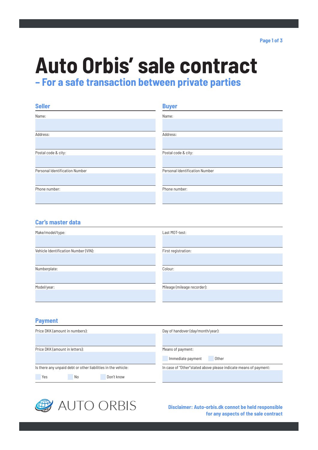# **Auto Orbis' sale contract**

**– For a safe transaction between private parties**

| <b>Seller</b>                  | <b>Buyer</b>                   |
|--------------------------------|--------------------------------|
| Name:                          | Name:                          |
|                                |                                |
| Address:                       | Address:                       |
|                                |                                |
| Postal code & city:            | Postal code & city:            |
|                                |                                |
| Personal Identification Number | Personal Identification Number |
|                                |                                |
| Phone number:                  | Phone number:                  |
|                                |                                |

## **Car's master data**

| Make/model/type:                     | Last MOT-test:              |
|--------------------------------------|-----------------------------|
|                                      |                             |
| Vehicle Identification Number (VIN): | First registration:         |
|                                      |                             |
|                                      |                             |
| Numberplate:                         | Colour:                     |
|                                      |                             |
|                                      |                             |
| Model/year:                          | Mileage (mileage recorder): |
|                                      |                             |
|                                      |                             |

## **Payment**

| Price DKK (amount in numbers):                                | Day of handover (day/month/year):                                 |
|---------------------------------------------------------------|-------------------------------------------------------------------|
| Price DKK (amount in letters):                                | Means of payment:<br>Immediate payment<br>Other                   |
| Is there any unpaid debt or other liabilities in the vehicle: | In case of "Other" stated above please indicate means of payment: |
| Yes<br>Don't know<br>No                                       |                                                                   |



**Disclaimer: Auto-orbis.dk connot be held responsible for any aspects of the sale contract**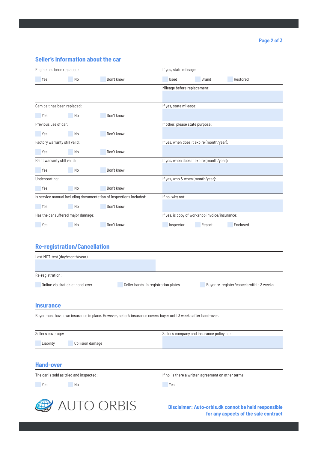## **Seller's information about the car**

| Engine has been replaced:          |                                     |                                                                    | If yes, state mileage:           |                                                |                                          |
|------------------------------------|-------------------------------------|--------------------------------------------------------------------|----------------------------------|------------------------------------------------|------------------------------------------|
| Yes                                | No                                  | Don't know                                                         | Used                             | <b>Brand</b>                                   | Restored                                 |
|                                    |                                     |                                                                    | Mileage before replacement:      |                                                |                                          |
|                                    |                                     |                                                                    |                                  |                                                |                                          |
| Cam belt has been replaced:        |                                     |                                                                    | If yes, state mileage:           |                                                |                                          |
| Yes                                | No                                  | Don't know                                                         |                                  |                                                |                                          |
| Previous use of car:               |                                     |                                                                    | If other, please state purpose:  |                                                |                                          |
| Yes                                | No                                  | Don't know                                                         |                                  |                                                |                                          |
| Factory warranty still valid:      |                                     |                                                                    |                                  | If yes, when does it expire (month/year):      |                                          |
| Yes                                | No                                  | Don't know                                                         |                                  |                                                |                                          |
| Paint warranty still valid:        |                                     |                                                                    |                                  | If yes, when does it expire (month/year):      |                                          |
| Yes                                | No                                  | Don't know                                                         |                                  |                                                |                                          |
| Undercoating:                      |                                     |                                                                    | If yes, who & when (month/year): |                                                |                                          |
| Yes                                | No                                  | Don't know                                                         |                                  |                                                |                                          |
|                                    |                                     | Is service manual including documentation of inspections included: | If no, why not:                  |                                                |                                          |
| Yes                                | No                                  | Don't know                                                         |                                  |                                                |                                          |
| Has the car suffered major damage: |                                     |                                                                    |                                  | If yes, is copy of workshop invoice/insurance: |                                          |
| Yes                                | No                                  | Don't know                                                         | Inspector                        | Report                                         | Enclosed                                 |
|                                    |                                     |                                                                    |                                  |                                                |                                          |
|                                    | <b>Re-registration/Cancellation</b> |                                                                    |                                  |                                                |                                          |
| Last MOT-test (day/month/year)     |                                     |                                                                    |                                  |                                                |                                          |
|                                    |                                     |                                                                    |                                  |                                                |                                          |
| Re-registration:                   |                                     |                                                                    |                                  |                                                |                                          |
|                                    | Online via skat.dk at hand-over     | Seller hands-in registration plates                                |                                  |                                                | Buyer re-register/cancels within 3 weeks |
|                                    |                                     |                                                                    |                                  |                                                |                                          |

#### **Insurance**

Buyer must have own insurance in place. However, seller's insurance covers buyer until 3 weeks after hand-over.

| Seller's coverage:                      | Seller's company and insurance policy no:           |
|-----------------------------------------|-----------------------------------------------------|
| Liability<br>Collision damage           |                                                     |
|                                         |                                                     |
|                                         |                                                     |
| <b>Hand-over</b>                        |                                                     |
| The car is sold as tried and inspected: | If no, is there a written agreement on other terms: |



**Disclaimer: Auto-orbis.dk connot be held responsible for any aspects of the sale contract**